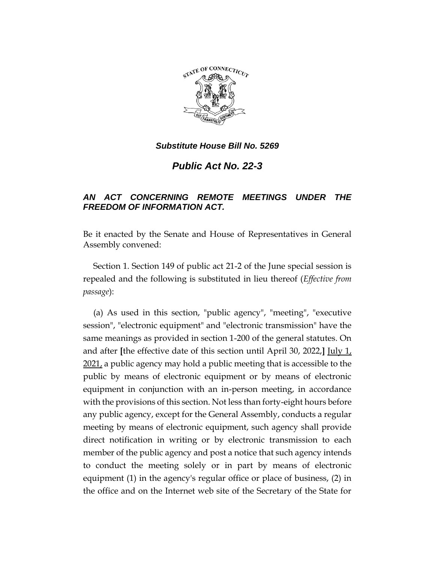

*Public Act No. 22-3*

# *AN ACT CONCERNING REMOTE MEETINGS UNDER THE FREEDOM OF INFORMATION ACT.*

Be it enacted by the Senate and House of Representatives in General Assembly convened:

Section 1. Section 149 of public act 21-2 of the June special session is repealed and the following is substituted in lieu thereof (*Effective from passage*):

(a) As used in this section, "public agency", "meeting", "executive session", "electronic equipment" and "electronic transmission" have the same meanings as provided in section 1-200 of the general statutes. On and after **[**the effective date of this section until April 30, 2022,**]** July 1, 2021, a public agency may hold a public meeting that is accessible to the public by means of electronic equipment or by means of electronic equipment in conjunction with an in-person meeting, in accordance with the provisions of this section. Not less than forty-eight hours before any public agency, except for the General Assembly, conducts a regular meeting by means of electronic equipment, such agency shall provide direct notification in writing or by electronic transmission to each member of the public agency and post a notice that such agency intends to conduct the meeting solely or in part by means of electronic equipment (1) in the agency's regular office or place of business, (2) in the office and on the Internet web site of the Secretary of the State for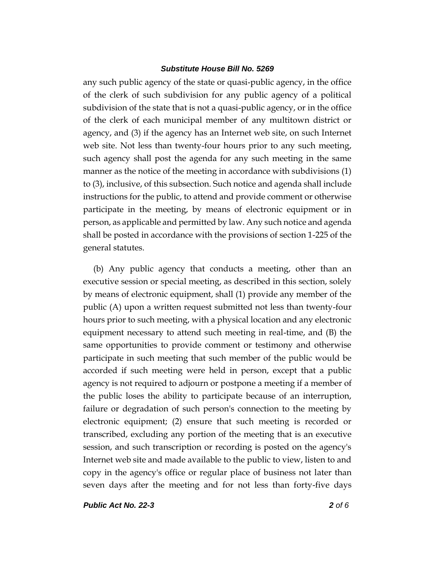any such public agency of the state or quasi-public agency, in the office of the clerk of such subdivision for any public agency of a political subdivision of the state that is not a quasi-public agency, or in the office of the clerk of each municipal member of any multitown district or agency, and (3) if the agency has an Internet web site, on such Internet web site. Not less than twenty-four hours prior to any such meeting, such agency shall post the agenda for any such meeting in the same manner as the notice of the meeting in accordance with subdivisions (1) to (3), inclusive, of this subsection. Such notice and agenda shall include instructions for the public, to attend and provide comment or otherwise participate in the meeting, by means of electronic equipment or in person, as applicable and permitted by law. Any such notice and agenda shall be posted in accordance with the provisions of section 1-225 of the general statutes.

(b) Any public agency that conducts a meeting, other than an executive session or special meeting, as described in this section, solely by means of electronic equipment, shall (1) provide any member of the public (A) upon a written request submitted not less than twenty-four hours prior to such meeting, with a physical location and any electronic equipment necessary to attend such meeting in real-time, and (B) the same opportunities to provide comment or testimony and otherwise participate in such meeting that such member of the public would be accorded if such meeting were held in person, except that a public agency is not required to adjourn or postpone a meeting if a member of the public loses the ability to participate because of an interruption, failure or degradation of such person's connection to the meeting by electronic equipment; (2) ensure that such meeting is recorded or transcribed, excluding any portion of the meeting that is an executive session, and such transcription or recording is posted on the agency's Internet web site and made available to the public to view, listen to and copy in the agency's office or regular place of business not later than seven days after the meeting and for not less than forty-five days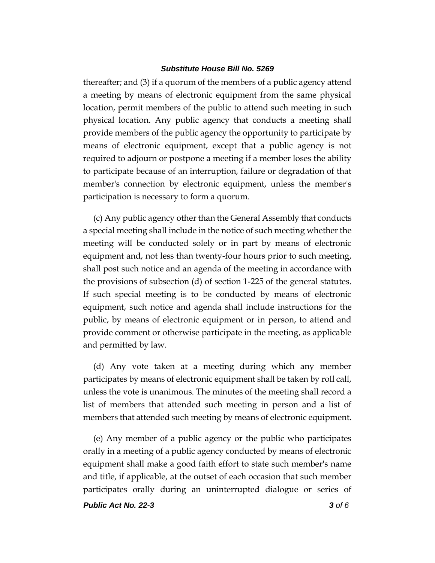thereafter; and (3) if a quorum of the members of a public agency attend a meeting by means of electronic equipment from the same physical location, permit members of the public to attend such meeting in such physical location. Any public agency that conducts a meeting shall provide members of the public agency the opportunity to participate by means of electronic equipment, except that a public agency is not required to adjourn or postpone a meeting if a member loses the ability to participate because of an interruption, failure or degradation of that member's connection by electronic equipment, unless the member's participation is necessary to form a quorum.

(c) Any public agency other than the General Assembly that conducts a special meeting shall include in the notice of such meeting whether the meeting will be conducted solely or in part by means of electronic equipment and, not less than twenty-four hours prior to such meeting, shall post such notice and an agenda of the meeting in accordance with the provisions of subsection (d) of section 1-225 of the general statutes. If such special meeting is to be conducted by means of electronic equipment, such notice and agenda shall include instructions for the public, by means of electronic equipment or in person, to attend and provide comment or otherwise participate in the meeting, as applicable and permitted by law.

(d) Any vote taken at a meeting during which any member participates by means of electronic equipment shall be taken by roll call, unless the vote is unanimous. The minutes of the meeting shall record a list of members that attended such meeting in person and a list of members that attended such meeting by means of electronic equipment.

(e) Any member of a public agency or the public who participates orally in a meeting of a public agency conducted by means of electronic equipment shall make a good faith effort to state such member's name and title, if applicable, at the outset of each occasion that such member participates orally during an uninterrupted dialogue or series of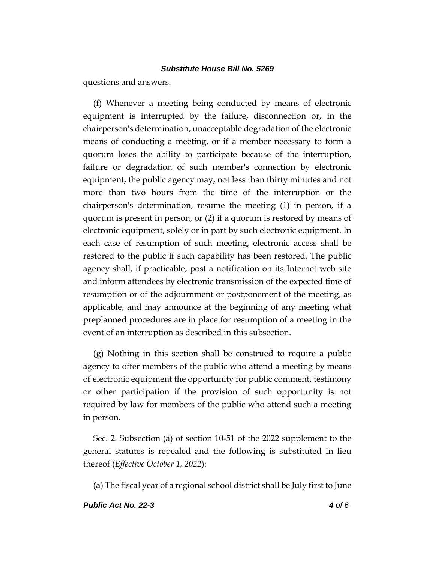questions and answers.

(f) Whenever a meeting being conducted by means of electronic equipment is interrupted by the failure, disconnection or, in the chairperson's determination, unacceptable degradation of the electronic means of conducting a meeting, or if a member necessary to form a quorum loses the ability to participate because of the interruption, failure or degradation of such member's connection by electronic equipment, the public agency may, not less than thirty minutes and not more than two hours from the time of the interruption or the chairperson's determination, resume the meeting (1) in person, if a quorum is present in person, or (2) if a quorum is restored by means of electronic equipment, solely or in part by such electronic equipment. In each case of resumption of such meeting, electronic access shall be restored to the public if such capability has been restored. The public agency shall, if practicable, post a notification on its Internet web site and inform attendees by electronic transmission of the expected time of resumption or of the adjournment or postponement of the meeting, as applicable, and may announce at the beginning of any meeting what preplanned procedures are in place for resumption of a meeting in the event of an interruption as described in this subsection.

(g) Nothing in this section shall be construed to require a public agency to offer members of the public who attend a meeting by means of electronic equipment the opportunity for public comment, testimony or other participation if the provision of such opportunity is not required by law for members of the public who attend such a meeting in person.

Sec. 2. Subsection (a) of section 10-51 of the 2022 supplement to the general statutes is repealed and the following is substituted in lieu thereof (*Effective October 1, 2022*):

(a) The fiscal year of a regional school district shall be July first to June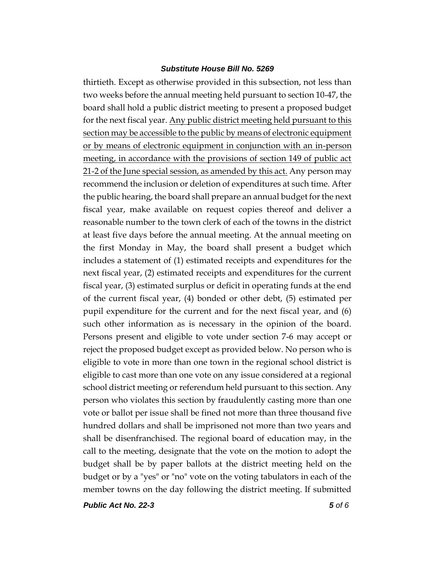thirtieth. Except as otherwise provided in this subsection, not less than two weeks before the annual meeting held pursuant to section 10-47, the board shall hold a public district meeting to present a proposed budget for the next fiscal year. Any public district meeting held pursuant to this section may be accessible to the public by means of electronic equipment or by means of electronic equipment in conjunction with an in-person meeting, in accordance with the provisions of section 149 of public act 21-2 of the June special session, as amended by this act. Any person may recommend the inclusion or deletion of expenditures at such time. After the public hearing, the board shall prepare an annual budget for the next fiscal year, make available on request copies thereof and deliver a reasonable number to the town clerk of each of the towns in the district at least five days before the annual meeting. At the annual meeting on the first Monday in May, the board shall present a budget which includes a statement of (1) estimated receipts and expenditures for the next fiscal year, (2) estimated receipts and expenditures for the current fiscal year, (3) estimated surplus or deficit in operating funds at the end of the current fiscal year, (4) bonded or other debt, (5) estimated per pupil expenditure for the current and for the next fiscal year, and (6) such other information as is necessary in the opinion of the board. Persons present and eligible to vote under section 7-6 may accept or reject the proposed budget except as provided below. No person who is eligible to vote in more than one town in the regional school district is eligible to cast more than one vote on any issue considered at a regional school district meeting or referendum held pursuant to this section. Any person who violates this section by fraudulently casting more than one vote or ballot per issue shall be fined not more than three thousand five hundred dollars and shall be imprisoned not more than two years and shall be disenfranchised. The regional board of education may, in the call to the meeting, designate that the vote on the motion to adopt the budget shall be by paper ballots at the district meeting held on the budget or by a "yes" or "no" vote on the voting tabulators in each of the member towns on the day following the district meeting. If submitted

*Public Act No. 22-3 5 of 6*